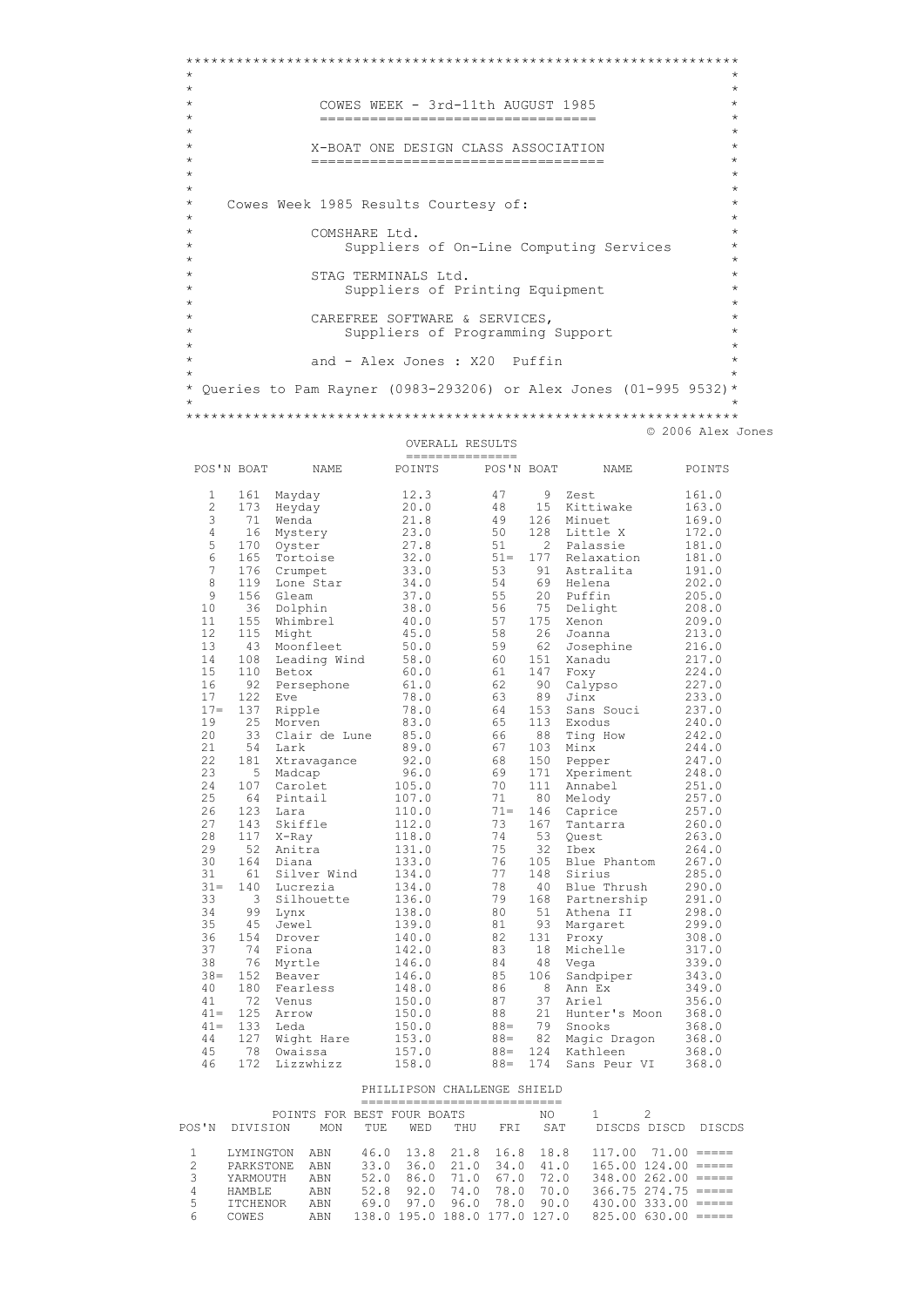$\star$  $\star$  $\star$ COWES WEEK - 3rd-11th AUGUST 1985  $\star$  $\star$  $\star$ ================================  $=$   $=$   $=$   $=$  $\star$  $\star$ X-BOAT ONE DESIGN CLASS ASSOCIATION ====================================  $\ddot{\phantom{1}}$ Cowes Week 1985 Results Courtesy of: COMSHARE Ltd. Suppliers of On-Line Computing Services STAG TERMINALS Ltd. Suppliers of Printing Equipment CAREFREE SOFTWARE & SERVICES,<br>Suppliers of Programming Support and - Alex Jones : X20 Puffin \* Queries to Pam Rayner (0983-293206) or Alex Jones (01-995 9532)\* © 2006 Alex Jones OVERALL RESULTS

| POS'N BOAT     |     | <b>NAME</b>   | POINTS | POS'N BOAT |                | NAME          | POINTS |
|----------------|-----|---------------|--------|------------|----------------|---------------|--------|
| 1              | 161 | Mayday        | 12.3   | 47         | 9              | Zest          | 161.0  |
| $\overline{c}$ | 173 | Heyday        | 20.0   | 48         | 15             | Kittiwake     | 163.0  |
| 3              | 71  | Wenda         | 21.8   | 49         | 126            | Minuet        | 169.0  |
| $\overline{4}$ | 16  | Mystery       | 23.0   | 50         | 128            | Little X      | 172.0  |
| 5              | 170 | Oyster        | 27.8   | 51         | $\overline{2}$ | Palassie      | 181.0  |
| 6              | 165 | Tortoise      | 32.0   | $51 =$     | 177            | Relaxation    | 181.0  |
| 7              | 176 | Crumpet       | 33.0   | 53         | 91             | Astralita     | 191.0  |
| $\,8\,$        | 119 | Lone Star     | 34.0   | 54         | 69             | Helena        | 202.0  |
| 9              | 156 | Gleam         | 37.0   | 55         | 20             | Puffin        | 205.0  |
| 10             | 36  | Dolphin       | 38.0   | 56         | 75             | Delight       | 208.0  |
| 11             | 155 | Whimbrel      | 40.0   | 57         | 175            | Xenon         | 209.0  |
| 12             | 115 | Might         | 45.0   | 58         | 26             | Joanna        | 213.0  |
| 13             | 43  | Moonfleet     | 50.0   | 59         | 62             | Josephine     | 216.0  |
| 14             | 108 | Leading Wind  | 58.0   | 60         | 151            | Xanadu        | 217.0  |
| 15             | 110 | Betox         | 60.0   | 61         | 147            | Foxy          | 224.0  |
| 16             | 92  | Persephone    | 61.0   | 62         | 90             | Calypso       | 227.0  |
| 17             | 122 | Eve           | 78.0   | 63         | 89             | Jinx          | 233.0  |
| $17 =$         | 137 | Ripple        | 78.0   | 64         | 153            | Sans Souci    | 237.0  |
| 19             | 25  | Morven        | 83.0   | 65         | 113            | Exodus        | 240.0  |
| 20             | 33  | Clair de Lune | 85.0   | 66         | 88             | Ting How      | 242.0  |
| 21             | 54  | Lark          | 89.0   | 67         | 103            | Minx          | 244.0  |
| 22             | 181 | Xtravagance   | 92.0   | 68         | 150            | Pepper        | 247.0  |
| 23             | 5   | Madcap        | 96.0   | 69         | 171            | Xperiment     | 248.0  |
| 24             | 107 | Carolet       | 105.0  | 70         | 111            | Annabel       | 251.0  |
| 25             | 64  | Pintail       | 107.0  | 71         | 80             | Melody        | 257.0  |
| 26             | 123 | Lara          | 110.0  | $71 =$     | 146            | Caprice       | 257.0  |
| 27             | 143 | Skiffle       | 112.0  | 73         | 167            | Tantarra      | 260.0  |
| 28             | 117 | X-Ray         | 118.0  | 74         | 53             | Ouest         | 263.0  |
| 29             | 52  | Anitra        | 131.0  | 75         | 32             | Ibex          | 264.0  |
| 30             | 164 | Diana         | 133.0  | 76         | 105            | Blue Phantom  | 267.0  |
| 31             | 61  | Silver Wind   | 134.0  | 77         | 148            | Sirius        | 285.0  |
| $31 =$         | 140 | Lucrezia      | 134.0  | 78         | 40             | Blue Thrush   | 290.0  |
| 33             | 3   | Silhouette    | 136.0  | 79         | 168            | Partnership   | 291.0  |
| 34             | 99  | Lynx          | 138.0  | 80         | 51             | Athena II     | 298.0  |
| 35             | 45  | Jewel         | 139.0  | 81         | 93             | Margaret      | 299.0  |
| 36             | 154 | Drover        | 140.0  | 82         | 131            | Proxy         | 308.0  |
| 37             | 74  | Fiona         | 142.0  | 83         | 18             | Michelle      | 317.0  |
| 38             | 76  | Myrtle        | 146.0  | 84         | 48             | Vega          | 339.0  |
| $38 =$         | 152 | Beaver        | 146.0  | 85         | 106            | Sandpiper     | 343.0  |
| 40             | 180 | Fearless      | 148.0  | 86         | 8              | Ann Ex        | 349.0  |
| 41             | 72  | Venus         | 150.0  | 87         | 37             | Ariel         | 356.0  |
| $41 =$         | 125 | Arrow         | 150.0  | 88         | 21             | Hunter's Moon | 368.0  |
| $41 =$         | 133 | Leda          | 150.0  | $88 =$     | 79             | Snooks        | 368.0  |
| 44             | 127 | Wight Hare    | 153.0  | $88 =$     | 82             | Magic Dragon  | 368.0  |
| 45             | 78  | Owaissa       | 157.0  | $88 =$     | 124            | Kathleen      | 368.0  |
| 46             | 172 | Lizzwhizz     | 158.0  | $88 =$     | 174            | Sans Peur VI  | 368.0  |

## PHILLIPSON CHALLENGE SHIELD

| POS'N         | DIVISION         | POINTS FOR BEST FOUR BOATS<br>MON | TUE                           | WED           | THU  | FRT      | NO.<br>SAT               |                          | DISCDS DISCD             | DISCDS |
|---------------|------------------|-----------------------------------|-------------------------------|---------------|------|----------|--------------------------|--------------------------|--------------------------|--------|
|               | LYMINGTON        | ABN                               |                               |               |      |          | 46.0 13.8 21.8 16.8 18.8 | $117.00$ $71.00$ =====   |                          |        |
| $\mathcal{L}$ | <b>PARKSTONE</b> | ABN                               | 33.0                          | 36.0          | 21.0 | 34.0     | 41.0                     | $165.00$ $124.00$ $====$ |                          |        |
| 3             | YARMOUTH         | ABN                               | 52.0                          | 86.0          | 71.0 | 67.0     | 72.0                     | $348.00$ $262.00$ $====$ |                          |        |
| 4             | <b>HAMBLE</b>    | ABN                               |                               | $52.8$ $92.0$ | 74.0 | 78.0     | 70.0                     |                          | $366.75$ $274.75$ $====$ |        |
| 5.            | <b>TTCHENOR</b>  | ABN                               |                               | 69.0 97.0     |      | 96.078.0 | 90.0                     | $430.00$ 333.00 $====$   |                          |        |
| 6             | COWES            | ABN                               | 138.0 195.0 188.0 177.0 127.0 |               |      |          |                          | $825.00630.00 == ==$     |                          |        |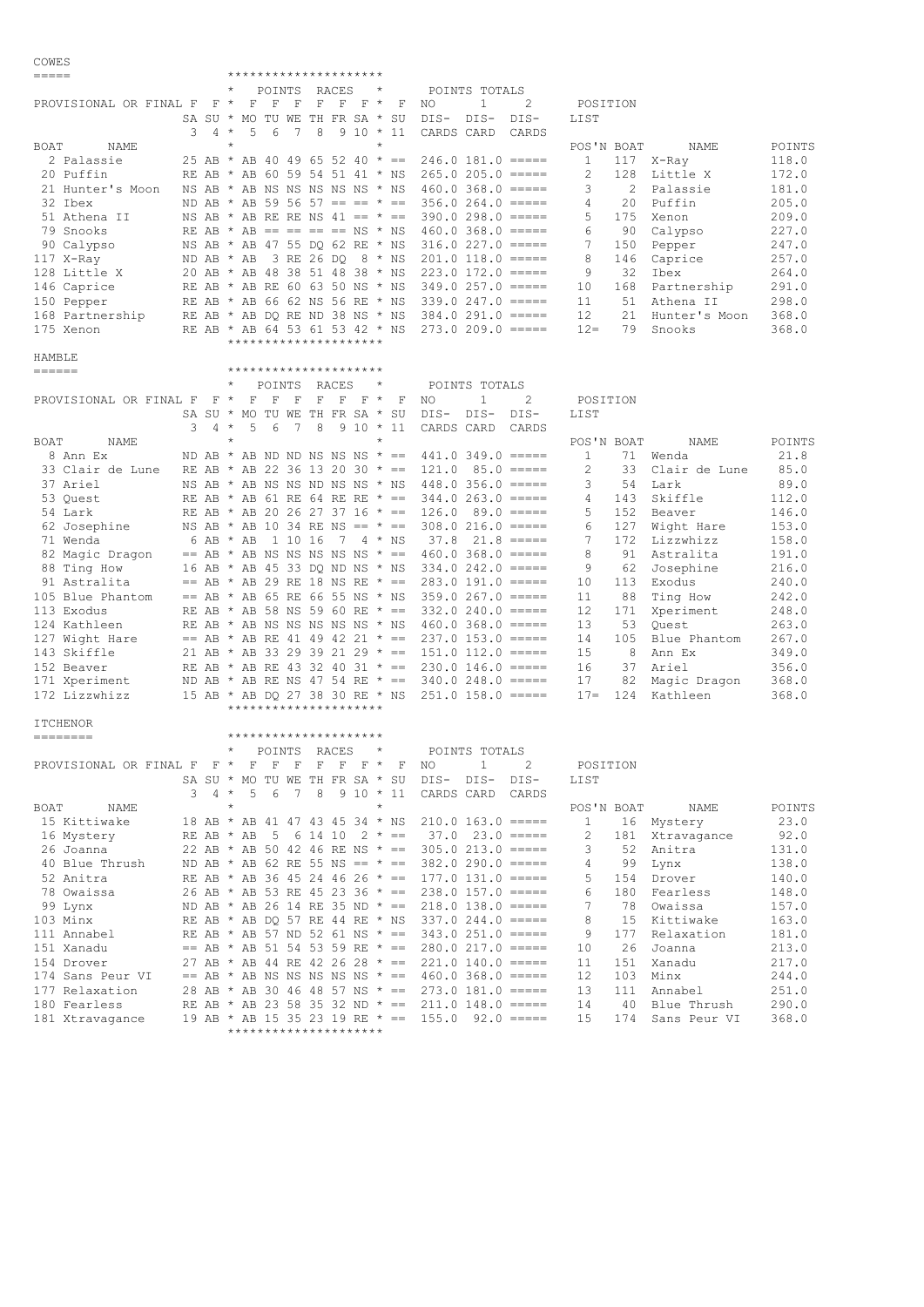| COWES                                                                                                                                                                                                                                                                                                                                                                                        |   |       |                       |                                                                    |   |                                                                                                      |                 |           |                             |                |
|----------------------------------------------------------------------------------------------------------------------------------------------------------------------------------------------------------------------------------------------------------------------------------------------------------------------------------------------------------------------------------------------|---|-------|-----------------------|--------------------------------------------------------------------|---|------------------------------------------------------------------------------------------------------|-----------------|-----------|-----------------------------|----------------|
| $\qquad \qquad \displaystyle =\qquad \qquad \displaystyle =\qquad \qquad$                                                                                                                                                                                                                                                                                                                    |   |       |                       | *********************                                              |   |                                                                                                      |                 |           |                             |                |
|                                                                                                                                                                                                                                                                                                                                                                                              |   |       |                       | POINTS RACES<br>$\star$                                            |   | POINTS TOTALS                                                                                        |                 |           |                             |                |
| PROVISIONAL OR FINAL F F *                                                                                                                                                                                                                                                                                                                                                                   |   |       |                       |                                                                    |   | $\mathbf{1}$<br>2<br>NO                                                                              | POSITION        |           |                             |                |
|                                                                                                                                                                                                                                                                                                                                                                                              | 3 | $4 *$ | 5.<br>6               | SA SU * MO TU WE TH FR SA * SU<br>8<br>$910 * 11$<br>7             |   | DIS- DIS-<br>DIS-<br>CARDS CARD<br>CARDS                                                             | LIST            |           |                             |                |
| BOAT<br>NAME                                                                                                                                                                                                                                                                                                                                                                                 |   |       |                       |                                                                    |   |                                                                                                      | POS'N BOAT      |           | NAME                        | POINTS         |
| 2 Palassie                                                                                                                                                                                                                                                                                                                                                                                   |   |       |                       | 25 AB * AB 40 49 65 52 40 * ==                                     |   | $246.0$ 181.0 $====$                                                                                 | 1               |           | 117 X-Ray                   | 118.0          |
| 20 Puffin                                                                                                                                                                                                                                                                                                                                                                                    |   |       |                       | RE AB * AB 60 59 54 51 41 * NS                                     |   | $265.0205.0 == ==$                                                                                   | 2               | 128       | Little X                    | 172.0          |
| 21 Hunter's Moon                                                                                                                                                                                                                                                                                                                                                                             |   |       |                       | NS AB * AB NS NS NS NS NS * NS                                     |   | $460.0$ 368.0 =====                                                                                  | 3               | 2         | Palassie                    | 181.0          |
| 32 Ibex                                                                                                                                                                                                                                                                                                                                                                                      |   |       |                       |                                                                    |   | ND AB * AB 59 56 57 == == * == 356.0 264.0 =====                                                     | 4               | 20        | Puffin                      | 205.0          |
| 51 Athena II                                                                                                                                                                                                                                                                                                                                                                                 |   |       |                       |                                                                    |   | NS AB * AB RE RE NS $41 == * == 390.0298.0 == ==$                                                    | 5               | 175       | Xenon                       | 209.0          |
| 79 Snooks                                                                                                                                                                                                                                                                                                                                                                                    |   |       |                       |                                                                    |   | RE AB * AB == == == == NS * NS $460.0$ 368.0 =====                                                   | 6               | 90        | Calypso                     | 227.0          |
| 90 Calypso                                                                                                                                                                                                                                                                                                                                                                                   |   |       |                       |                                                                    |   | NS AB * AB 47 55 DQ 62 RE * NS 316.0 227.0 =====                                                     | 7               | 150       | Pepper                      | 247.0          |
| $117$ X-Ray                                                                                                                                                                                                                                                                                                                                                                                  |   |       |                       | ND AB $\star$ AB 3 RE 26 DQ 8 $\star$ NS                           |   | $201.0$ 118.0 =====                                                                                  | 8               | 146       | Caprice                     | 257.0          |
| 128 Little X                                                                                                                                                                                                                                                                                                                                                                                 |   |       |                       |                                                                    |   | 20 AB * AB 48 38 51 48 38 * NS 223.0 172.0 =====<br>RE AB * AB RE 60 63 50 NS * NS 349.0 257.0 ===== | 9<br>10         | 32<br>168 | Ibex                        | 264.0<br>291.0 |
| 146 Caprice<br>150 Pepper                                                                                                                                                                                                                                                                                                                                                                    |   |       |                       |                                                                    |   | RE AB * AB 66 62 NS 56 RE * NS 339.0 247.0 =====                                                     | 11              |           | Partnership<br>51 Athena II | 298.0          |
| 168 Partnership                                                                                                                                                                                                                                                                                                                                                                              |   |       |                       | RE AB * AB DQ RE ND 38 NS * NS                                     |   | $384.0 291.0 == ==$                                                                                  | 12              | 21        | Hunter's Moon               | 368.0          |
| 175 Xenon                                                                                                                                                                                                                                                                                                                                                                                    |   |       |                       | RE AB * AB 64 53 61 53 42 * NS                                     |   | $273.0209.0 == ==$                                                                                   | $12 =$          | 79        | Snooks                      | 368.0          |
|                                                                                                                                                                                                                                                                                                                                                                                              |   |       |                       | *********************                                              |   |                                                                                                      |                 |           |                             |                |
| HAMBLE                                                                                                                                                                                                                                                                                                                                                                                       |   |       |                       |                                                                    |   |                                                                                                      |                 |           |                             |                |
| $\frac{1}{1} \frac{1}{1} \frac{1}{1} \frac{1}{1} \frac{1}{1} \frac{1}{1} \frac{1}{1} \frac{1}{1} \frac{1}{1} \frac{1}{1} \frac{1}{1} \frac{1}{1} \frac{1}{1} \frac{1}{1} \frac{1}{1} \frac{1}{1} \frac{1}{1} \frac{1}{1} \frac{1}{1} \frac{1}{1} \frac{1}{1} \frac{1}{1} \frac{1}{1} \frac{1}{1} \frac{1}{1} \frac{1}{1} \frac{1}{1} \frac{1}{1} \frac{1}{1} \frac{1}{1} \frac{1}{1} \frac{$ |   |       |                       | *********************                                              |   |                                                                                                      |                 |           |                             |                |
|                                                                                                                                                                                                                                                                                                                                                                                              |   |       | $^\star$<br>POINTS    | RACES<br>$^{\star}$                                                |   | POINTS TOTALS                                                                                        |                 |           |                             |                |
| PROVISIONAL OR FINAL F F *                                                                                                                                                                                                                                                                                                                                                                   |   |       | $\mathbf F$<br>F<br>F | $F$ $F$ $F$ $*$                                                    | F | NO<br>$\mathbf{1}$<br>2                                                                              | POSITION        |           |                             |                |
|                                                                                                                                                                                                                                                                                                                                                                                              |   |       |                       | SA SU * MO TU WE TH FR SA * SU                                     |   | DIS-<br>DIS-<br>DIS-<br>CARDS CARD                                                                   | LIST            |           |                             |                |
| BOAT<br>NAME                                                                                                                                                                                                                                                                                                                                                                                 | 3 | $4 *$ | 5<br>6                | 7 8<br>$9\ 10 \ * \ 11$                                            |   | CARDS                                                                                                | POS'N BOAT      |           | NAME                        | POINTS         |
| 8 Ann Ex                                                                                                                                                                                                                                                                                                                                                                                     |   |       |                       | ND AB $*$ AB ND ND NS NS NS $* ==$                                 |   | $441.0$ 349.0 =====                                                                                  | $\mathbf{1}$    | 71        | Wenda                       | 21.8           |
| 33 Clair de Lune                                                                                                                                                                                                                                                                                                                                                                             |   |       |                       |                                                                    |   | RE AB * AB 22 36 13 20 30 * == 121.0 85.0 =====                                                      | 2               | 33        | Clair de Lune               | 85.0           |
| 37 Ariel                                                                                                                                                                                                                                                                                                                                                                                     |   |       |                       | NS AB * AB NS NS ND NS NS * NS                                     |   | $448.0$ 356.0 =====                                                                                  | 3               | 54        | Lark                        | 89.0           |
| 53 Quest                                                                                                                                                                                                                                                                                                                                                                                     |   |       |                       |                                                                    |   | RE AB * AB 61 RE 64 RE RE * == 344.0 263.0 =====                                                     | 4               | 143       | Skiffle                     | 112.0          |
| 54 Lark                                                                                                                                                                                                                                                                                                                                                                                      |   |       |                       | RE AB * AB 20 26 27 37 16 * == 126.0                               |   | $89.0$ =====                                                                                         | 5               | 152       | Beaver                      | 146.0          |
| 62 Josephine                                                                                                                                                                                                                                                                                                                                                                                 |   |       |                       |                                                                    |   | NS AB * AB 10 34 RE NS == * == 308.0 216.0 =====                                                     | 6               | 127       | Wight Hare                  | 153.0          |
| 71 Wenda                                                                                                                                                                                                                                                                                                                                                                                     |   |       | 1 10 16<br>6 AB * AB  | 7 4 * NS                                                           |   | 37.8<br>$21.8$ =====                                                                                 | 7               | 172       | Lizzwhizz                   | 158.0          |
| 82 Magic Dragon                                                                                                                                                                                                                                                                                                                                                                              |   |       |                       |                                                                    |   | $==$ AB * AB NS NS NS NS NS * == 460.0 368.0 =====                                                   | 8               | 91        | Astralita                   | 191.0          |
| 88 Ting How                                                                                                                                                                                                                                                                                                                                                                                  |   |       |                       | 16 AB * AB 45 33 DQ ND NS * NS                                     |   | $334.0$ $242.0$ =====                                                                                | 9               | 62        | Josephine                   | 216.0          |
| 91 Astralita<br>105 Blue Phantom                                                                                                                                                                                                                                                                                                                                                             |   |       |                       | == AB * AB 29 RE 18 NS RE * ==<br>$==$ AB * AB 65 RE 66 55 NS * NS |   | $283.0$ 191.0 $====$<br>$359.0$ 267.0 $====$                                                         | 10<br>11        | 113<br>88 | Exodus<br>Ting How          | 240.0<br>242.0 |
| 113 Exodus                                                                                                                                                                                                                                                                                                                                                                                   |   |       |                       | RE AB * AB 58 NS 59 60 RE * ==                                     |   | $332.0240.0 == ==$                                                                                   | 12              | 171       | Xperiment                   | 248.0          |
| 124 Kathleen                                                                                                                                                                                                                                                                                                                                                                                 |   |       |                       | RE AB * AB NS NS NS NS NS * NS                                     |   | $460.0$ 368.0 =====                                                                                  | 13              | 53        | Quest                       | 263.0          |
| 127 Wight Hare                                                                                                                                                                                                                                                                                                                                                                               |   |       |                       | $==$ AB * AB RE 41 49 42 21 * $==$                                 |   | $237.0$ 153.0 $====$                                                                                 | 14              | 105       | Blue Phantom                | 267.0          |
| 143 Skiffle                                                                                                                                                                                                                                                                                                                                                                                  |   |       |                       |                                                                    |   | 21 AB * AB 33 29 39 21 29 * == 151.0 112.0 =====                                                     | 15              | 8         | Ann Ex                      | 349.0          |
| 152 Beaver                                                                                                                                                                                                                                                                                                                                                                                   |   |       |                       |                                                                    |   | RE AB * AB RE 43 32 40 31 * == 230.0 146.0 =====                                                     | 16              | 37        | Ariel                       | 356.0          |
| 171 Xperiment                                                                                                                                                                                                                                                                                                                                                                                |   |       |                       |                                                                    |   | ND AB * AB RE NS 47 54 RE * == 340.0 248.0 =====                                                     | 17              | 82        | Magic Dragon                | 368.0          |
| 172 Lizzwhizz                                                                                                                                                                                                                                                                                                                                                                                |   |       |                       | 15 AB * AB DQ 27 38 30 RE * NS<br>*********************            |   | $251.0$ 158.0 $====$                                                                                 | $17 =$          | 124       | Kathleen                    | 368.0          |
|                                                                                                                                                                                                                                                                                                                                                                                              |   |       |                       |                                                                    |   |                                                                                                      |                 |           |                             |                |
| <b>ITCHENOR</b>                                                                                                                                                                                                                                                                                                                                                                              |   |       |                       | *********************                                              |   |                                                                                                      |                 |           |                             |                |
|                                                                                                                                                                                                                                                                                                                                                                                              |   |       |                       | POINTS RACES<br>$\star$                                            |   | POINTS TOTALS                                                                                        |                 |           |                             |                |
| PROVISIONAL OR FINAL F F *                                                                                                                                                                                                                                                                                                                                                                   |   |       | $\mathbf{F}$<br>F     | F<br>F<br>$F$ $F$ $*$ $F$                                          |   | 2<br>NO<br>$\mathbf{1}$                                                                              | POSITION        |           |                             |                |
|                                                                                                                                                                                                                                                                                                                                                                                              |   |       |                       | SA SU * MO TU WE TH FR SA * SU                                     |   | DIS- DIS-<br>DIS-                                                                                    | LIST            |           |                             |                |
|                                                                                                                                                                                                                                                                                                                                                                                              | 3 | $4 *$ | 6<br>5                | 8<br>$910 * 11$<br>7                                               |   | CARDS CARD<br>CARDS                                                                                  |                 |           |                             |                |
| BOAT<br>NAME                                                                                                                                                                                                                                                                                                                                                                                 |   |       |                       |                                                                    |   |                                                                                                      | POS'N BOAT      |           | NAME                        | POINTS         |
| 15 Kittiwake                                                                                                                                                                                                                                                                                                                                                                                 |   |       |                       | 18 AB * AB 41 47 43 45 34 * NS                                     |   | $210.0$ 163.0 =====                                                                                  | $\mathbf{1}$    |           | 16 Mystery                  | 23.0           |
| 16 Mystery                                                                                                                                                                                                                                                                                                                                                                                   |   |       | RE AB * AB            | $5\quad 6\quad 14\quad 10\quad 2\quad * =$                         |   | $37.0$ $23.0$ =====                                                                                  | 2               | 181       | Xtravagance                 | 92.0           |
| 26 Joanna                                                                                                                                                                                                                                                                                                                                                                                    |   |       |                       |                                                                    |   | 22 AB * AB 50 42 46 RE NS * == 305.0 213.0 =====                                                     | 3               | 52        | Anitra                      | 131.0          |
| 40 Blue Thrush<br>52 Anitra                                                                                                                                                                                                                                                                                                                                                                  |   |       |                       |                                                                    |   | ND AB * AB 62 RE 55 NS == * == 382.0 290.0 =====<br>RE AB * AB 36 45 24 46 26 * == 177.0 131.0 ===== | 4<br>5          | 99<br>154 | Lynx<br>Drover              | 138.0<br>140.0 |
| 78 Owaissa                                                                                                                                                                                                                                                                                                                                                                                   |   |       |                       |                                                                    |   | 26 AB * AB 53 RE 45 23 36 * == 238.0 157.0 =====                                                     | 6               | 180       | Fearless                    | 148.0          |
| 99 Lynx                                                                                                                                                                                                                                                                                                                                                                                      |   |       |                       |                                                                    |   | ND AB * AB 26 14 RE 35 ND * == 218.0 138.0 =====                                                     | 7               | 78        | Owaissa                     | 157.0          |
| 103 Minx                                                                                                                                                                                                                                                                                                                                                                                     |   |       |                       |                                                                    |   | RE AB * AB DQ 57 RE 44 RE * NS 337.0 244.0 =====                                                     | 8               | 15        | Kittiwake                   | 163.0          |
| 111 Annabel                                                                                                                                                                                                                                                                                                                                                                                  |   |       |                       |                                                                    |   | RE AB * AB 57 ND 52 61 NS * == 343.0 251.0 =====                                                     | 9               | 177       | Relaxation                  | 181.0          |
| 151 Xanadu                                                                                                                                                                                                                                                                                                                                                                                   |   |       |                       |                                                                    |   | $==$ AB * AB 51 54 53 59 RE * == 280.0 217.0 =====                                                   | 10              | 26        | Joanna                      | 213.0          |
| 154 Drover                                                                                                                                                                                                                                                                                                                                                                                   |   |       |                       |                                                                    |   | 27 AB * AB 44 RE 42 26 28 * == 221.0 140.0 =====                                                     | 11              |           | 151 Xanadu                  | 217.0          |
| 174 Sans Peur VI                                                                                                                                                                                                                                                                                                                                                                             |   |       |                       |                                                                    |   | $==$ AB * AB NS NS NS NS NS * $==$ 460.0 368.0 $==$                                                  | 12              | 103       | Minx                        | 244.0          |
| 177 Relaxation                                                                                                                                                                                                                                                                                                                                                                               |   |       |                       |                                                                    |   | 28 AB * AB 30 46 48 57 NS * == 273.0 181.0 =====                                                     | 13              | 111       | Annabel                     | 251.0          |
| 180 Fearless                                                                                                                                                                                                                                                                                                                                                                                 |   |       |                       |                                                                    |   | RE AB * AB 23 58 35 32 ND * == 211.0 148.0 =====                                                     | 14              | 40        | Blue Thrush                 | 290.0          |
| 181 Xtravagance                                                                                                                                                                                                                                                                                                                                                                              |   |       |                       | *********************                                              |   | 19 AB * AB 15 35 23 19 RE * == 155.0 92.0 =====                                                      | 15 <sub>1</sub> | 174       | Sans Peur VI                | 368.0          |
|                                                                                                                                                                                                                                                                                                                                                                                              |   |       |                       |                                                                    |   |                                                                                                      |                 |           |                             |                |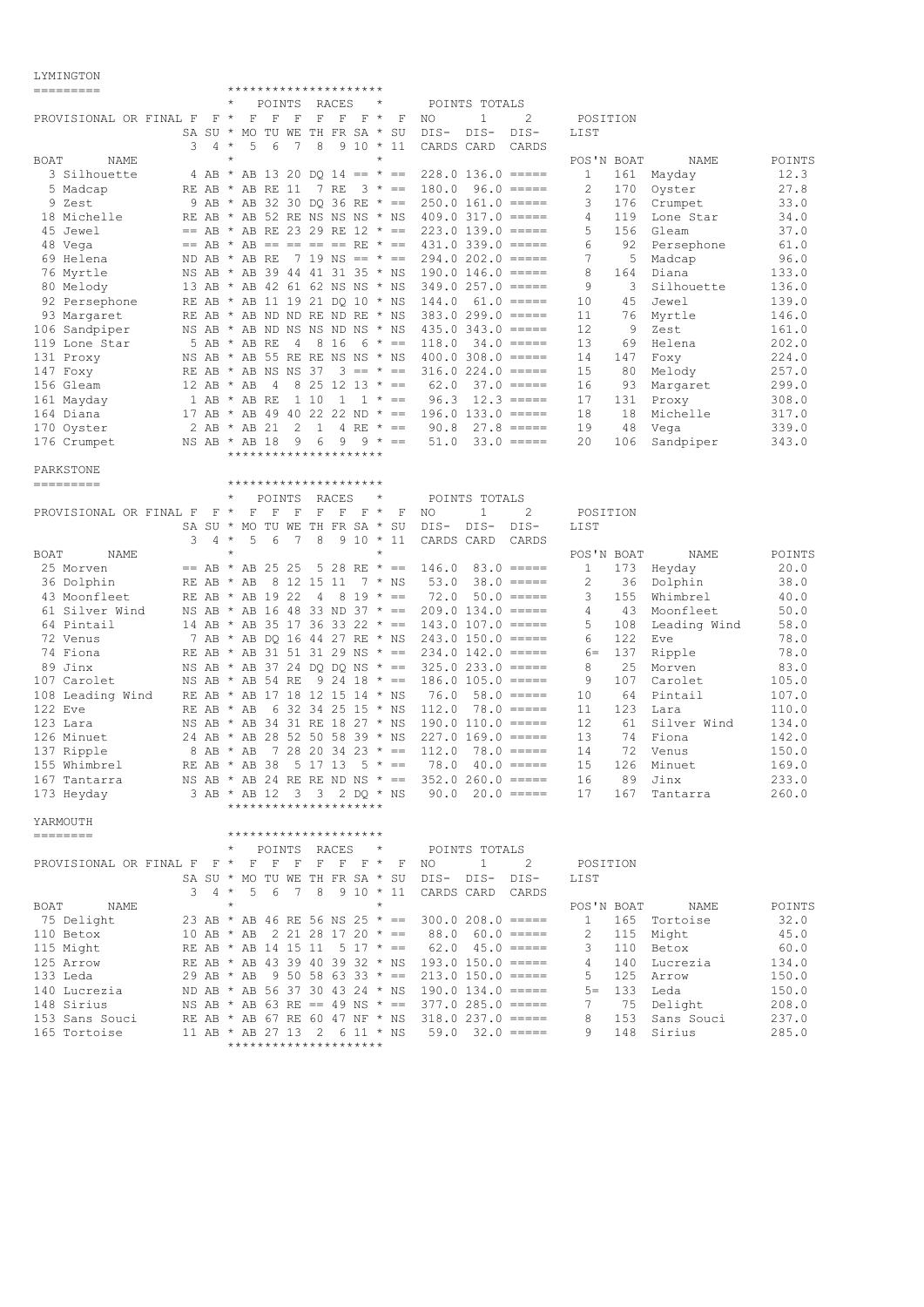## LYMINGTON

|                                                                                                                                                                                                                                                                                                                                                                                                                                                                                                                                                            |              | *********************                                   |   |                                        |                              |        |
|------------------------------------------------------------------------------------------------------------------------------------------------------------------------------------------------------------------------------------------------------------------------------------------------------------------------------------------------------------------------------------------------------------------------------------------------------------------------------------------------------------------------------------------------------------|--------------|---------------------------------------------------------|---|----------------------------------------|------------------------------|--------|
|                                                                                                                                                                                                                                                                                                                                                                                                                                                                                                                                                            |              | POINTS RACES<br>$\star$                                 |   | POINTS TOTALS                          |                              |        |
| PROVISIONAL OR FINAL F                                                                                                                                                                                                                                                                                                                                                                                                                                                                                                                                     | $F^*$        | F<br>F<br>$\mathbf{F}$<br>$\mathbb{F}$<br>F<br>$F^*$    | F | 2<br>NO<br>$\mathbf{1}$                | POSITION                     |        |
|                                                                                                                                                                                                                                                                                                                                                                                                                                                                                                                                                            |              | SA SU * MO TU WE TH FR SA * SU                          |   | DIS-DIS-<br>DIS-                       | LIST                         |        |
|                                                                                                                                                                                                                                                                                                                                                                                                                                                                                                                                                            | 3            | 8<br>$910 * 11$<br>$4 *$<br>5<br>6<br>7                 |   | CARDS CARD<br>CARDS                    |                              |        |
| BOAT<br>NAME                                                                                                                                                                                                                                                                                                                                                                                                                                                                                                                                               |              | $^{\star}$<br>$^{\star}$                                |   |                                        | POS'N BOAT<br>NAME           | POINTS |
| 3 Silhouette                                                                                                                                                                                                                                                                                                                                                                                                                                                                                                                                               |              | 4 AB * AB 13 20 DO 14 == * ==                           |   | $228.0$ 136.0 =====                    | $\mathbf{1}$<br>161 Mayday   | 12.3   |
| 5 Madcap                                                                                                                                                                                                                                                                                                                                                                                                                                                                                                                                                   |              | RE AB * AB RE 11<br>7 RE<br>$3 * ==$                    |   | $180.0$ $96.0$ $====$                  | 2<br>170<br>Oyster           | 27.8   |
| 9 Zest                                                                                                                                                                                                                                                                                                                                                                                                                                                                                                                                                     |              | 9 AB * AB 32 30 DQ 36 RE * == 250.0 161.0 =====         |   |                                        | 3<br>176 Crumpet             | 33.0   |
| 18 Michelle                                                                                                                                                                                                                                                                                                                                                                                                                                                                                                                                                |              | RE AB * AB 52 RE NS NS NS * NS 409.0 317.0 =====        |   |                                        | 119<br>4<br>Lone Star        | 34.0   |
| 45 Jewel                                                                                                                                                                                                                                                                                                                                                                                                                                                                                                                                                   |              | $==$ AB * AB RE 23 29 RE 12 * == 223.0 139.0 =====      |   |                                        | 5<br>156 Gleam               | 37.0   |
|                                                                                                                                                                                                                                                                                                                                                                                                                                                                                                                                                            |              |                                                         |   |                                        |                              |        |
| 48 Vega                                                                                                                                                                                                                                                                                                                                                                                                                                                                                                                                                    |              | $==$ AB * AB == == == == RE * == 431.0 339.0 =====      |   |                                        | 6<br>92<br>Persephone        | 61.0   |
| 69 Helena                                                                                                                                                                                                                                                                                                                                                                                                                                                                                                                                                  |              | ND AB * AB RE                                           |   | 7 19 NS == $* = 294.0202.0 = ==$       | 7<br>5<br>Madcap             | 96.0   |
| 76 Myrtle                                                                                                                                                                                                                                                                                                                                                                                                                                                                                                                                                  |              | NS AB * AB 39 44 41 31 35 * NS 190.0 146.0 =====        |   |                                        | 8<br>164<br>Diana            | 133.0  |
| 80 Melody                                                                                                                                                                                                                                                                                                                                                                                                                                                                                                                                                  |              | 13 AB * AB 42 61 62 NS NS * NS                          |   | $349.0257.0 == ==$                     | 9<br>3<br>Silhouette         | 136.0  |
| 92 Persephone                                                                                                                                                                                                                                                                                                                                                                                                                                                                                                                                              |              | RE AB * AB 11 19 21 DO 10 * NS 144.0                    |   | $61.0$ =====                           | 45<br>10<br>Jewel            | 139.0  |
| 93 Margaret                                                                                                                                                                                                                                                                                                                                                                                                                                                                                                                                                |              | RE AB * AB ND ND RE ND RE * NS                          |   | $383.0299.0 == ==$                     | 11<br>76<br>Myrtle           | 146.0  |
| 106 Sandpiper                                                                                                                                                                                                                                                                                                                                                                                                                                                                                                                                              |              | NS AB $*$ AB ND NS NS ND NS $*$ NS                      |   | $435.0$ $343.0$ $====$                 | 12<br>- 9<br>Zest            | 161.0  |
| 119 Lone Star                                                                                                                                                                                                                                                                                                                                                                                                                                                                                                                                              |              | 4 8 16<br>$6 * ==$<br>5 AB * AB RE                      |   | $34.0$ =====<br>118.0                  | 13<br>69<br>Helena           | 202.0  |
| 131 Proxy                                                                                                                                                                                                                                                                                                                                                                                                                                                                                                                                                  |              | NS AB * AB 55 RE RE NS NS * NS                          |   | $400.0$ 308.0 $====$                   | 14<br>147<br>Foxy            | 224.0  |
| 147 Foxy                                                                                                                                                                                                                                                                                                                                                                                                                                                                                                                                                   |              | RE AB * AB NS NS 37<br>$3 == * ==$                      |   | $316.0224.0 == ==$                     | 15<br>80<br>Melody           | 257.0  |
| 156 Gleam                                                                                                                                                                                                                                                                                                                                                                                                                                                                                                                                                  | 12 AB $*$ AB | $4 \t 8 \t 25 \t 12 \t 13 \t \cdot \t ==$               |   | $37.0$ =====<br>62.0                   | 16<br>93<br>Margaret         | 299.0  |
| 161 Mayday                                                                                                                                                                                                                                                                                                                                                                                                                                                                                                                                                 |              | 1 AB * AB RE<br>1 10<br>$\mathbf{1}$<br>$1 * ==$        |   | $96.3 \quad 12.3 \quad == ==$          | 17<br>131<br>Proxy           | 308.0  |
| 164 Diana                                                                                                                                                                                                                                                                                                                                                                                                                                                                                                                                                  |              | 17 AB * AB 49 40 22 22 ND * == 196.0 133.0 =====        |   |                                        | 18<br>18<br>Michelle         | 317.0  |
|                                                                                                                                                                                                                                                                                                                                                                                                                                                                                                                                                            |              | 2 AB * AB 21<br>2<br>1<br>4 RE $* ==$                   |   | 90.8<br>$27.8$ =====                   | 19<br>48                     | 339.0  |
| 170 Oyster                                                                                                                                                                                                                                                                                                                                                                                                                                                                                                                                                 |              |                                                         |   |                                        | Vega                         |        |
| 176 Crumpet                                                                                                                                                                                                                                                                                                                                                                                                                                                                                                                                                |              | NS AB * AB 18<br>9<br>6<br>9<br>$9 * =$                 |   | 51.0<br>$33.0$ =====                   | 20<br>106<br>Sandpiper       | 343.0  |
|                                                                                                                                                                                                                                                                                                                                                                                                                                                                                                                                                            |              | *********************                                   |   |                                        |                              |        |
| PARKSTONE                                                                                                                                                                                                                                                                                                                                                                                                                                                                                                                                                  |              |                                                         |   |                                        |                              |        |
| =========                                                                                                                                                                                                                                                                                                                                                                                                                                                                                                                                                  |              | *********************                                   |   |                                        |                              |        |
|                                                                                                                                                                                                                                                                                                                                                                                                                                                                                                                                                            |              | $^{\star}$<br>POINTS RACES<br>$^{\star}$                |   | POINTS TOTALS                          |                              |        |
| PROVISIONAL OR FINAL F                                                                                                                                                                                                                                                                                                                                                                                                                                                                                                                                     | $F \star$    | $F$ F<br>F<br>$F$ $F$ $F$ $*$                           | F | NO<br>$\mathbf{1}$<br>2                | POSITION                     |        |
|                                                                                                                                                                                                                                                                                                                                                                                                                                                                                                                                                            |              | SA SU * MO TU WE TH FR SA * SU                          |   | DIS-<br>DIS-<br>DIS-                   | LIST                         |        |
|                                                                                                                                                                                                                                                                                                                                                                                                                                                                                                                                                            | 3            | $4 *$<br>5<br>8<br>$910 * 11$<br>6<br>7                 |   | CARDS CARD<br>CARDS                    |                              |        |
| BOAT<br>NAME                                                                                                                                                                                                                                                                                                                                                                                                                                                                                                                                               |              | $\star$<br>$\star$                                      |   |                                        | POS'N BOAT<br>NAME           | POINTS |
| 25 Morven                                                                                                                                                                                                                                                                                                                                                                                                                                                                                                                                                  |              | 5 28 RE $* ==$<br>$==$ AB $*$ AB 25 25                  |   | $83.0$ =====<br>146.0                  | 1<br>173<br>Heyday           | 20.0   |
| 36 Dolphin                                                                                                                                                                                                                                                                                                                                                                                                                                                                                                                                                 | RE AB * AB   | 8 12 15 11<br>7 * NS                                    |   | 53.0<br>$38.0$ =====                   | 2<br>36<br>Dolphin           | 38.0   |
| 43 Moonfleet                                                                                                                                                                                                                                                                                                                                                                                                                                                                                                                                               |              | RE AB * AB 19 22<br>4 8 19 $* ==$                       |   | 72.0<br>$50.0$ =====                   | 3<br>155<br>Whimbrel         | 40.0   |
| 61 Silver Wind                                                                                                                                                                                                                                                                                                                                                                                                                                                                                                                                             |              | NS AB * AB 16 48 33 ND 37 * == 209.0 134.0 =====        |   |                                        | 4<br>43<br>Moonfleet         | 50.0   |
| 64 Pintail                                                                                                                                                                                                                                                                                                                                                                                                                                                                                                                                                 |              | 14 AB * AB 35 17 36 33 22 * == 143.0 107.0 =====        |   |                                        | 5<br>108<br>Leading Wind     | 58.0   |
| 72 Venus                                                                                                                                                                                                                                                                                                                                                                                                                                                                                                                                                   |              |                                                         |   |                                        | 122<br>6<br>Eve              | 78.0   |
|                                                                                                                                                                                                                                                                                                                                                                                                                                                                                                                                                            |              | 7 AB * AB DQ 16 44 27 RE * NS 243.0 150.0 =====         |   |                                        |                              |        |
| 74 Fiona                                                                                                                                                                                                                                                                                                                                                                                                                                                                                                                                                   |              | RE AB * AB 31 51 31 29 NS * == 234.0 142.0 =====        |   |                                        | 137<br>$6=$<br>Ripple        | 78.0   |
| 89 Jinx                                                                                                                                                                                                                                                                                                                                                                                                                                                                                                                                                    |              | NS AB * AB 37 24 DQ DQ NS * == 325.0 233.0 =====        |   |                                        | 8<br>25<br>Morven            | 83.0   |
| 107 Carolet                                                                                                                                                                                                                                                                                                                                                                                                                                                                                                                                                |              | NS AB * AB 54 RE                                        |   | $9$ 24 18 $\star$ == 186.0 105.0 ===== | 9<br>107<br>Carolet          | 105.0  |
| 108 Leading Wind                                                                                                                                                                                                                                                                                                                                                                                                                                                                                                                                           |              | RE AB * AB 17 18 12 15 14 * NS                          |   | 76.0<br>$58.0$ =====                   | 10<br>64<br>Pintail          | 107.0  |
| 122 Eve                                                                                                                                                                                                                                                                                                                                                                                                                                                                                                                                                    | RE AB * AB   | 6 32 34 25 15 * NS                                      |   | 112.0<br>$78.0$ =====                  | 11<br>123<br>Lara            | 110.0  |
| 123 Lara                                                                                                                                                                                                                                                                                                                                                                                                                                                                                                                                                   |              | NS AB * AB 34 31 RE 18 27 * NS                          |   | $190.0$ 110.0 =====                    | 12<br>61<br>Silver Wind      | 134.0  |
| 126 Minuet                                                                                                                                                                                                                                                                                                                                                                                                                                                                                                                                                 |              | 24 AB * AB 28 52 50 58 39 * NS                          |   | $227.0$ 169.0 =====                    | 13<br>74<br>Fiona            | 142.0  |
| 137 Ripple                                                                                                                                                                                                                                                                                                                                                                                                                                                                                                                                                 | 8 AB * AB    | $7$ 28 20 34 23 $\star$ ==                              |   | 112.0<br>$78.0$ =====                  | 14<br>72 Venus               | 150.0  |
| 155 Whimbrel                                                                                                                                                                                                                                                                                                                                                                                                                                                                                                                                               |              | RE AB * AB 38<br>5 17 13<br>$5 * ==$                    |   | 78.0<br>$40.0$ =====                   | 15<br>126<br>Minuet          | 169.0  |
| 167 Tantarra                                                                                                                                                                                                                                                                                                                                                                                                                                                                                                                                               |              | NS AB * AB 24 RE RE ND NS * == 352.0 260.0 =====        |   |                                        | 89 Jinx<br>16                | 233.0  |
| 173 Heyday                                                                                                                                                                                                                                                                                                                                                                                                                                                                                                                                                 |              | 3 AB * AB 12 3 3 2 DQ * NS 90.0 20.0 ===== 17           |   |                                        | 167 Tantarra                 | 260.0  |
|                                                                                                                                                                                                                                                                                                                                                                                                                                                                                                                                                            |              | *********************                                   |   |                                        |                              |        |
| YARMOUTH                                                                                                                                                                                                                                                                                                                                                                                                                                                                                                                                                   |              |                                                         |   |                                        |                              |        |
| $\begin{tabular}{ll} \multicolumn{3}{l}{{\color{red}\boldsymbol{=}}} & \multicolumn{3}{l}{\color{blue}\boldsymbol{=}} & \multicolumn{3}{l}{\color{blue}\boldsymbol{=}} & \multicolumn{3}{l}{\color{blue}\boldsymbol{=}} & \multicolumn{3}{l}{\color{blue}\boldsymbol{=}} & \multicolumn{3}{l}{\color{blue}\boldsymbol{=}} & \multicolumn{3}{l}{\color{blue}\boldsymbol{=}} & \multicolumn{3}{l}{\color{blue}\boldsymbol{=}} & \multicolumn{3}{l}{\color{blue}\boldsymbol{=}} & \multicolumn{3}{l}{\color{blue}\boldsymbol{=}} & \multicolumn{3}{l}{\color$ |              | *********************                                   |   |                                        |                              |        |
|                                                                                                                                                                                                                                                                                                                                                                                                                                                                                                                                                            |              |                                                         |   |                                        |                              |        |
|                                                                                                                                                                                                                                                                                                                                                                                                                                                                                                                                                            |              | POINTS RACES * POINTS TOTALS                            |   |                                        |                              |        |
|                                                                                                                                                                                                                                                                                                                                                                                                                                                                                                                                                            |              | PROVISIONAL OR FINAL F F * F F F F F F * F NO           |   | $\mathbf{1}$<br>$\overline{2}$         | POSITION                     |        |
|                                                                                                                                                                                                                                                                                                                                                                                                                                                                                                                                                            |              | SA SU * MO TU WE TH FR SA * SU DIS- DIS- DIS-           |   |                                        | LIST                         |        |
|                                                                                                                                                                                                                                                                                                                                                                                                                                                                                                                                                            |              | $3 \t4 \t\t\t\t\t5 \t6 \t7 \t8 \t9 \t10 \t\t\t\t\t\t11$ |   | CARDS CARD CARDS                       |                              |        |
| BOAT NAME                                                                                                                                                                                                                                                                                                                                                                                                                                                                                                                                                  |              | $\star$<br>$\star$                                      |   |                                        | POS'N BOAT NAME              | POINTS |
| 75 Delight                                                                                                                                                                                                                                                                                                                                                                                                                                                                                                                                                 |              | 23 AB * AB 46 RE 56 NS 25 * == 300.0 208.0 =====        |   |                                        | $\mathbf{1}$<br>165 Tortoise | 32.0   |
| 110 Betox                                                                                                                                                                                                                                                                                                                                                                                                                                                                                                                                                  |              | 10 AB * AB 2 21 28 17 20 * == 88.0 60.0 =====           |   |                                        | 2<br>115 Might               | 45.0   |
| 115 Might                                                                                                                                                                                                                                                                                                                                                                                                                                                                                                                                                  |              | RE AB * AB 14 15 11 5 17 * == 62.0 45.0 =====           |   |                                        | 110 Betox<br>3               | 60.0   |
| 125 Arrow                                                                                                                                                                                                                                                                                                                                                                                                                                                                                                                                                  |              | RE AB * AB 43 39 40 39 32 * NS 193.0 150.0 =====        |   |                                        | 4<br>140 Lucrezia            | 134.0  |
| 133 Leda                                                                                                                                                                                                                                                                                                                                                                                                                                                                                                                                                   |              | 29 AB * AB 9 50 58 63 33 * == 213.0 150.0 =====         |   |                                        | 125 Arrow<br>5               | 150.0  |
| 140 Lucrezia                                                                                                                                                                                                                                                                                                                                                                                                                                                                                                                                               |              | ND AB * AB 56 37 30 43 24 * NS 190.0 134.0 =====        |   |                                        | 5= 133 Leda                  | 150.0  |
|                                                                                                                                                                                                                                                                                                                                                                                                                                                                                                                                                            |              |                                                         |   |                                        |                              |        |
| 148 Sirius                                                                                                                                                                                                                                                                                                                                                                                                                                                                                                                                                 |              | NS AB * AB 63 RE == 49 NS * == 377.0 285.0 =====        |   |                                        | 75 Delight<br>7              | 208.0  |

153 Sans Souci RE AB \* AB 67 RE 60 47 NF \* NS 318.0 237.0 ===== 8 153 Sans Souci 237.0 165 Tortoise 11 AB \* AB 27 13 2 6 11 \* NS 59.0 32.0 ===== 9 148 Sirius 285.0

\*\*\*\*\*\*\*\*\*\*\*\*\*\*\*\*\*\*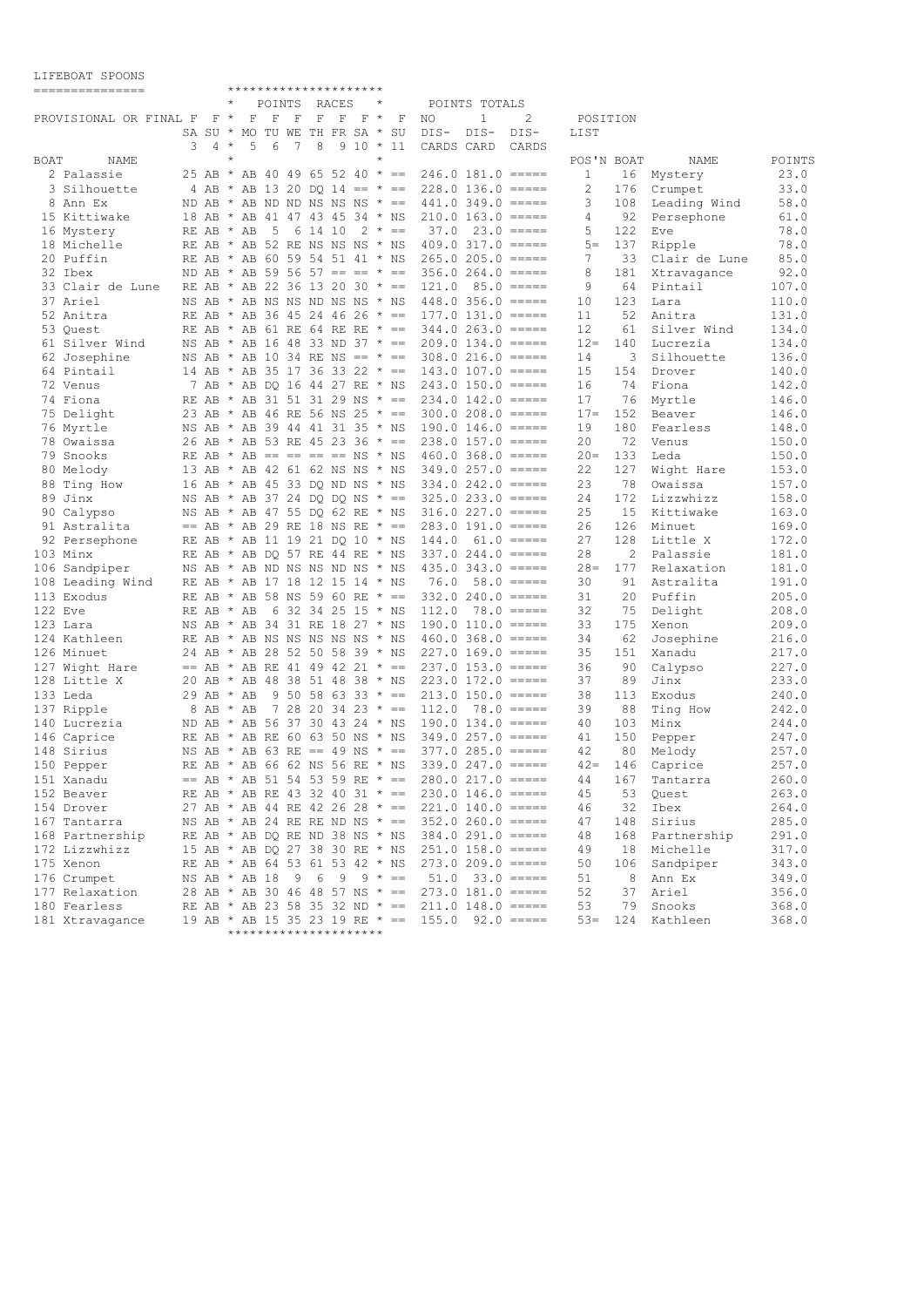## LIFEBOAT SPOONS

|      | TIFFROAT SPOONS                |   |                   |                  |             |   |   |           |              |                                                                  |         |                                |            |               |                                                  |              |            |                     |                |
|------|--------------------------------|---|-------------------|------------------|-------------|---|---|-----------|--------------|------------------------------------------------------------------|---------|--------------------------------|------------|---------------|--------------------------------------------------|--------------|------------|---------------------|----------------|
|      | ===============                |   |                   |                  |             |   |   |           |              | *********************                                            |         |                                |            |               |                                                  |              |            |                     |                |
|      |                                |   |                   |                  |             |   |   |           | POINTS RACES |                                                                  | $\star$ |                                |            | POINTS TOTALS |                                                  |              |            |                     |                |
|      | PROVISIONAL OR FINAL F         |   |                   | $F^*$            | $\mathbf F$ | F |   | $F$ F     | F            | $F^*$                                                            |         | F                              | ΝO         | $\mathbf{1}$  | 2                                                | POSITION     |            |                     |                |
|      |                                |   |                   |                  |             |   |   |           |              | SA SU * MO TU WE TH FR SA * SU                                   |         |                                | DIS-       | DIS-          | DIS-                                             | LIST         |            |                     |                |
|      |                                | 3 |                   | $4 *$<br>$\star$ | 5           | 6 | 7 | 8         |              | $910 * 11$                                                       | $\star$ |                                | CARDS CARD |               | CARDS                                            |              |            |                     |                |
| BOAT | NAME                           |   |                   |                  |             |   |   |           |              |                                                                  |         |                                |            |               |                                                  | POS'N BOAT   |            | NAME                | POINTS         |
|      | 2 Palassie                     |   |                   |                  |             |   |   |           |              | 25 AB * AB 40 49 65 52 40 * ==                                   |         |                                |            |               | $246.0$ 181.0 =====                              | $\mathbf{1}$ | 16         | Mystery             | 23.0           |
|      | 3 Silhouette                   |   |                   |                  |             |   |   |           |              | 4 AB * AB 13 20 DQ 14 == * ==                                    |         |                                |            |               | $228.0$ 136.0 =====                              | 2            | 176        | Crumpet             | 33.0           |
|      | 8 Ann Ex                       |   |                   |                  |             |   |   |           |              | ND AB $*$ AB ND ND NS NS NS $* ==$                               |         |                                |            |               | $441.0$ 349.0 $====$                             | 3            | 108        | Leading Wind        | 58.0           |
|      | 15 Kittiwake                   |   |                   |                  |             |   |   |           |              | 18 AB * AB 41 47 43 45 34 * NS                                   |         |                                |            |               | $210.0$ 163.0 $====$                             | 4            | 92         | Persephone          | 61.0           |
|      | 16 Mystery                     |   | RE AB * AB        |                  |             |   |   | 5 6 14 10 |              |                                                                  |         | $2 * ==$                       | 37.0       |               | $23.0 == ==$                                     | 5            | 122        | Eve                 | 78.0           |
|      | 18 Michelle                    |   |                   |                  |             |   |   |           |              | RE AB * AB 52 RE NS NS NS * NS                                   |         |                                |            |               | $409.0$ $317.0$ $====$                           | $5 =$        | 137        | Ripple              | 78.0           |
|      | 20 Puffin                      |   |                   |                  |             |   |   |           |              | RE AB * AB 60 59 54 51 41 * NS                                   |         |                                |            |               | $265.0205.0 == ==$                               | 7            | 33         | Clair de Lune       | 85.0           |
|      | 32 Ibex                        |   |                   |                  |             |   |   |           |              | ND AB * AB 59 56 57 == == * ==                                   |         |                                |            |               | $356.0264.0 == ==$                               | 8            | 181        | Xtravagance         | 92.0           |
|      | 33 Clair de Lune               |   |                   |                  |             |   |   |           |              | RE AB * AB 22 36 13 20 30 * ==                                   |         |                                | 121.0      |               | $85.0$ =====                                     | 9            | 64         | Pintail             | 107.0          |
|      | 37 Ariel                       |   |                   |                  |             |   |   |           |              | NS AB * AB NS NS ND NS NS * NS                                   |         |                                |            |               | $448.0$ 356.0 =====                              | 10           | 123        | Lara                | 110.0          |
|      | 52 Anitra<br>53 Quest          |   |                   |                  |             |   |   |           |              | RE AB * AB 36 45 24 46 26 * ==                                   |         |                                |            |               | $177.0$ $131.0$ =====<br>$344.0$ 263.0 =====     | 11<br>12     | 52<br>61   | Anitra              | 131.0<br>134.0 |
|      |                                |   |                   |                  |             |   |   |           |              | RE AB * AB 61 RE 64 RE RE * ==                                   |         |                                |            |               |                                                  |              | 140        | Silver Wind         |                |
|      | 61 Silver Wind                 |   |                   |                  |             |   |   |           |              | NS AB * AB 16 48 33 ND 37 * ==                                   |         |                                |            |               | $209.0$ 134.0 =====                              | $12-$        |            | Lucrezia            | 134.0          |
|      | 62 Josephine                   |   |                   |                  |             |   |   |           |              | NS AB * AB 10 34 RE NS == * ==                                   |         |                                |            |               | $308.0 216.0 == ==$                              | 14           | 3          | Silhouette          | 136.0          |
|      | 64 Pintail                     |   |                   |                  |             |   |   |           |              | 14 AB * AB 35 17 36 33 22 * ==                                   |         |                                |            |               | $143.0 107.0 == ==$                              | 15           | 154        | Drover              | 140.0          |
|      | 72 Venus<br>74 Fiona           |   |                   |                  |             |   |   |           |              | 7 AB * AB DQ 16 44 27 RE * NS                                    |         |                                |            |               | $243.0$ 150.0 =====                              | 16           | 74         | Fiona               | 142.0          |
|      |                                |   |                   |                  |             |   |   |           |              | 23 AB * AB 46 RE 56 NS 25 * ==                                   |         | RE AB * AB 31 51 31 29 NS * == |            |               | $234.0$ 142.0 =====                              | 17           | 76         | Myrtle              | 146.0          |
|      | 75 Delight                     |   |                   |                  |             |   |   |           |              |                                                                  |         |                                |            |               | $300.0208.0 == ==$                               | $17 -$       | 152        | Beaver              | 146.0          |
|      | 76 Myrtle                      |   |                   |                  |             |   |   |           |              | NS AB * AB 39 44 41 31 35 * NS                                   |         |                                |            |               | $190.0$ 146.0 =====                              | 19           | 180        | Fearless            | 148.0          |
|      | 78 Owaissa                     |   |                   |                  |             |   |   |           |              | 26 AB * AB 53 RE 45 23 36 * ==                                   |         |                                |            |               | $238.0$ 157.0 $====$<br>$460.0$ 368.0 =====      | 20           | 72         | Venus               | 150.0          |
|      | 79 Snooks                      |   |                   |                  |             |   |   |           |              | RE AB $*$ AB == == == == NS $*$ NS                               |         |                                |            |               |                                                  | $20 -$<br>22 | 133<br>127 | Leda                | 150.0          |
|      | 80 Melody                      |   |                   |                  |             |   |   |           |              | 13 AB * AB 42 61 62 NS NS * NS                                   |         |                                |            |               | $349.0257.0 == ==$                               |              |            | Wight Hare          | 153.0          |
|      | 88 Ting How                    |   |                   |                  |             |   |   |           |              | 16 AB * AB 45 33 DO ND NS * NS                                   |         |                                |            |               | $334.0$ 242.0 $====$                             | 23           | 78         | Owaissa             | 157.0<br>158.0 |
|      | 89 Jinx                        |   |                   |                  |             |   |   |           |              | NS AB * AB 37 24 DQ DQ NS * ==                                   |         |                                |            |               | $325.0$ $233.0$ $====$                           | 24           | 172        | Lizzwhizz           |                |
|      | 90 Calypso                     |   |                   |                  |             |   |   |           |              | NS AB * AB 47 55 DQ 62 RE * NS                                   |         |                                |            |               | $316.0 227.0 == ==$                              | 25           | 15         | Kittiwake           | 163.0          |
|      | 91 Astralita                   |   |                   |                  |             |   |   |           |              | $==$ AB * AB 29 RE 18 NS RE * ==                                 |         |                                |            |               | $283.0$ 191.0 $====$                             | 26           | 126<br>128 | Minuet              | 169.0          |
|      | 92 Persephone                  |   |                   |                  |             |   |   |           |              | RE AB * AB 11 19 21 DQ 10 * NS                                   |         |                                | 144.0      |               | $61.0$ =====                                     | 27           |            | Little X            | 172.0<br>181.0 |
|      | 103 Minx                       |   |                   |                  |             |   |   |           |              | RE AB * AB DQ 57 RE 44 RE * NS                                   |         |                                |            |               | $337.0244.0 == ==$                               | 28<br>$28 =$ | 2<br>177   | Palassie            | 181.0          |
|      | 106 Sandpiper                  |   |                   |                  |             |   |   |           |              | NS AB * AB ND NS NS ND NS * NS<br>RE AB * AB 17 18 12 15 14 * NS |         |                                |            |               | $435.0$ $343.0$ $== ==$<br>$58.0$ =====          | 30           | 91         | Relaxation          | 191.0          |
|      | 108 Leading Wind<br>113 Exodus |   |                   |                  |             |   |   |           |              | RE AB * AB 58 NS 59 60 RE * ==                                   |         |                                | 76.0       |               | $332.0$ 240.0 $====$                             | 31           | 20         | Astralita<br>Puffin | 205.0          |
|      | 122 Eve                        |   | RE AB * AB        |                  |             |   |   |           |              | 6 32 34 25 15 * NS                                               |         |                                | 112.0      |               | $78.0$ =====                                     | 32           | 75         | Delight             | 208.0          |
|      | 123 Lara                       |   |                   |                  |             |   |   |           |              | NS AB * AB 34 31 RE 18 27 * NS                                   |         |                                |            |               | $190.0 110.0 == ==$                              | 33           | 175        | Xenon               | 209.0          |
|      | 124 Kathleen                   |   |                   |                  |             |   |   |           |              | RE AB * AB NS NS NS NS NS * NS                                   |         |                                |            |               | $460.0$ 368.0 =====                              | 34           | 62         | Josephine           | 216.0          |
|      | 126 Minuet                     |   |                   |                  |             |   |   |           |              | 24 AB * AB 28 52 50 58 39 * NS                                   |         |                                |            |               | $227.0$ 169.0 $====$                             | 35           | 151        | Xanadu              | 217.0          |
|      |                                |   |                   |                  |             |   |   |           |              | == AB * AB RE 41 49 42 21 * ==                                   |         |                                |            |               | $237.0$ 153.0 $====$                             | 36           | 90         |                     | 227.0          |
|      | 127 Wight Hare<br>128 Little X |   |                   |                  |             |   |   |           |              | 20 AB * AB 48 38 51 48 38 * NS                                   |         |                                |            |               | $223.0$ 172.0 $====$                             | 37           | 89         | Calypso<br>Jinx     | 233.0          |
|      | 133 Leda                       |   | 29 AB * AB        |                  |             |   |   |           |              | $9\ 50\ 58\ 63\ 33 \star ==$                                     |         |                                |            |               | $213.0$ 150.0 =====                              | 38           | 113        | Exodus              | 240.0          |
|      | 137 Ripple                     |   | 8 AB * AB         |                  |             |   |   |           |              | $7$ 28 20 34 23 * ==                                             |         |                                | 112.0      |               | $78.0$ =====                                     | 39           | 88         | Ting How            | 242.0          |
|      | 140 Lucrezia                   |   |                   |                  |             |   |   |           |              | ND AB * AB 56 37 30 43 24 * NS                                   |         |                                |            |               | $190.0$ $134.0$ =====                            | 40           | 103        | Minx                | 244.0          |
|      | 146 Caprice                    |   |                   |                  |             |   |   |           |              | RE AB * AB RE 60 63 50 NS * NS                                   |         |                                |            |               | $349.0257.0 == ==$                               | 41           | 150        | Pepper              | 247.0          |
|      | 148 Sirius                     |   |                   |                  |             |   |   |           |              | NS AB * AB 63 RE == 49 NS * ==                                   |         |                                |            |               | $377.0285.0 == ==$                               | 42           | 80         | Melody              | 257.0          |
|      | 150 Pepper                     |   |                   |                  |             |   |   |           |              | RE AB * AB 66 62 NS 56 RE * NS                                   |         |                                |            |               | $339.0 247.0 = ==$                               | $42 =$       | 146        | Caprice             | 257.0          |
|      | 151 Xanadu                     |   |                   |                  |             |   |   |           |              | $==$ AB * AB 51 54 53 59 RE * ==                                 |         |                                |            |               | $280.0 217.0 == ==$                              | 44           | 167        | Tantarra            | 260.0          |
|      | 152 Beaver                     |   |                   |                  |             |   |   |           |              | RE AB * AB RE 43 32 40 31 * ==                                   |         |                                |            |               | $230.0$ 146.0 =====                              | 45           | 53         | Quest               | 263.0          |
|      | 154 Drover                     |   |                   |                  |             |   |   |           |              |                                                                  |         | 27 AB * AB 44 RE 42 26 28 * == |            |               | $221.0$ 140.0 =====                              | 46           | 32         | Ibex                | 264.0          |
|      | 167 Tantarra                   |   |                   |                  |             |   |   |           |              |                                                                  |         | NS AB * AB 24 RE RE ND NS * == |            |               | $352.0260.0 == ==$                               | 47           | 148        | Sirius              | 285.0          |
|      | 168 Partnership                |   |                   |                  |             |   |   |           |              |                                                                  |         | RE AB * AB DQ RE ND 38 NS * NS |            |               | $384.0 291.0 = ==$                               | 48           |            | 168 Partnership     | 291.0          |
|      | 172 Lizzwhizz                  |   |                   |                  |             |   |   |           |              |                                                                  |         |                                |            |               | 15 AB * AB DQ 27 38 30 RE * NS 251.0 158.0 ===== | 49           | 18         | Michelle            | 317.0          |
|      | 175 Xenon                      |   |                   |                  |             |   |   |           |              |                                                                  |         |                                |            |               | RE AB * AB 64 53 61 53 42 * NS 273.0 209.0 ===== | 50           | 106        | Sandpiper           | 343.0          |
|      | 176 Crumpet                    |   | NS AB * AB 18 9 6 |                  |             |   |   |           |              | $9 \t 9 \t \t \t =$                                              |         |                                |            |               | $51.0$ $33.0$ =====                              | 51           | 8          | Ann Ex              | 349.0          |
|      | 177 Relaxation                 |   |                   |                  |             |   |   |           |              |                                                                  |         | 28 AB * AB 30 46 48 57 NS * == |            |               | $273.0$ 181.0 =====                              | 52           | 37         | Ariel               | 356.0          |
|      | 180 Fearless                   |   |                   |                  |             |   |   |           |              |                                                                  |         | RE AB * AB 23 58 35 32 ND * == |            |               | $211.0$ 148.0 =====                              | 53           | 79         | Snooks              | 368.0          |
|      | 181 Xtravagance                |   |                   |                  |             |   |   |           |              | 19 AB * AB 15 35 23 19 RE * ==                                   |         |                                |            |               | $155.0$ $92.0$ =====                             | $53 -$       | 124        | Kathleen            | 368.0          |
|      |                                |   |                   |                  |             |   |   |           |              | *********************                                            |         |                                |            |               |                                                  |              |            |                     |                |